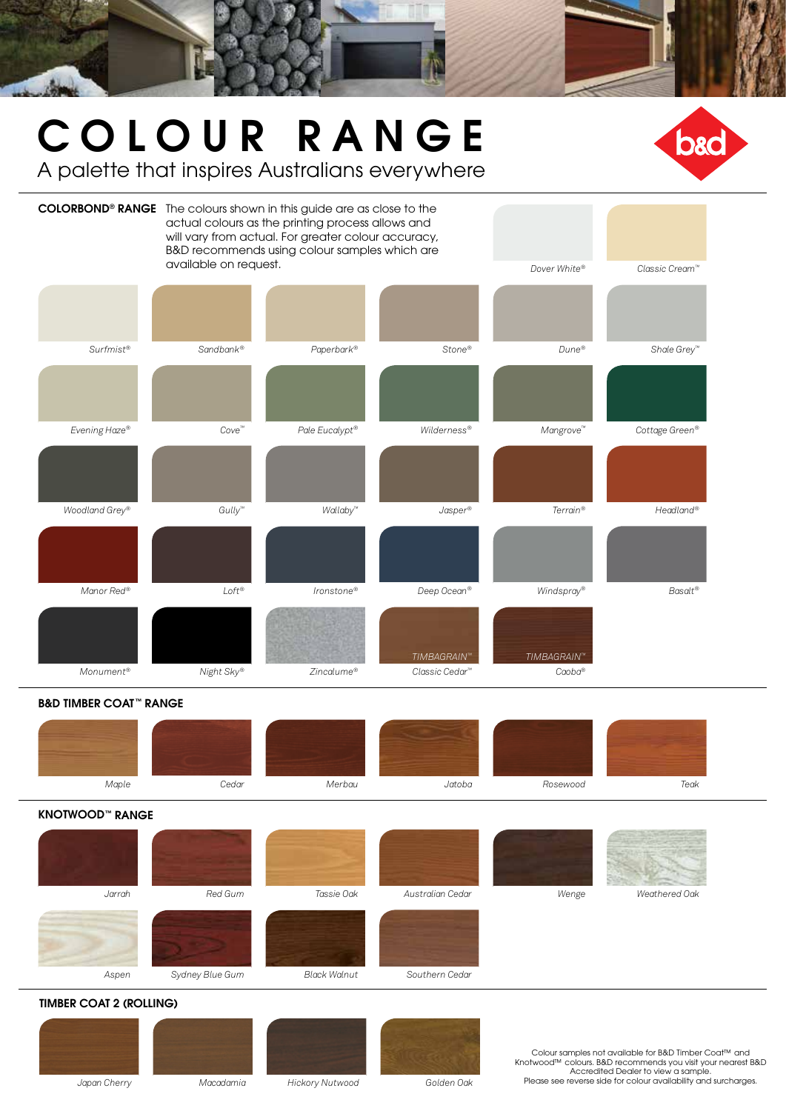# COLOUR RANGE

A palette that inspires Australians everywhere



### B&D TIMBER COAT™ RANGE

| Maple | Cedar | Merbau | Jatoba | Rosewood | Teak |
|-------|-------|--------|--------|----------|------|

#### KNOTWOOD™ RANGE

| Jarrah | Red Gum         | Tassie Oak          | Australian Cedar | Wenge | Weathered Oak |
|--------|-----------------|---------------------|------------------|-------|---------------|
| Aspen  | Sydney Blue Gum | <b>Black Walnut</b> | Southern Cedar   |       |               |

#### TIMBER COAT 2 (ROLLING)







Colour samples not available for B&D Timber Coat™ and Knotwood™ colours. B&D recommends you visit your nearest B&D Accredited Dealer to view a sample. Please see reverse side for colour availability and surcharges.